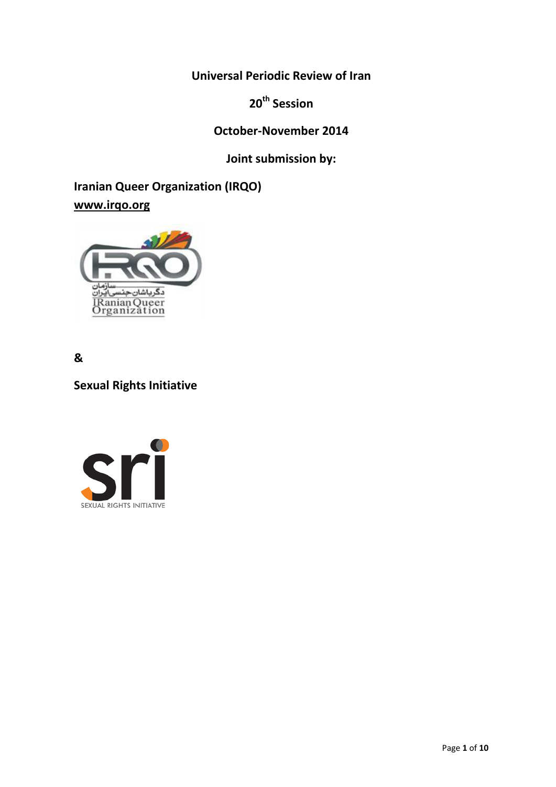**Universal Periodic Review of Iran**

**20th Session**

**October-November 2014**

**Joint submission by:**

**Iranian Queer Organization (IRQO) [www.irqo.org](http://www.irqo.org/)**



**&** 

**Sexual Rights Initiative**

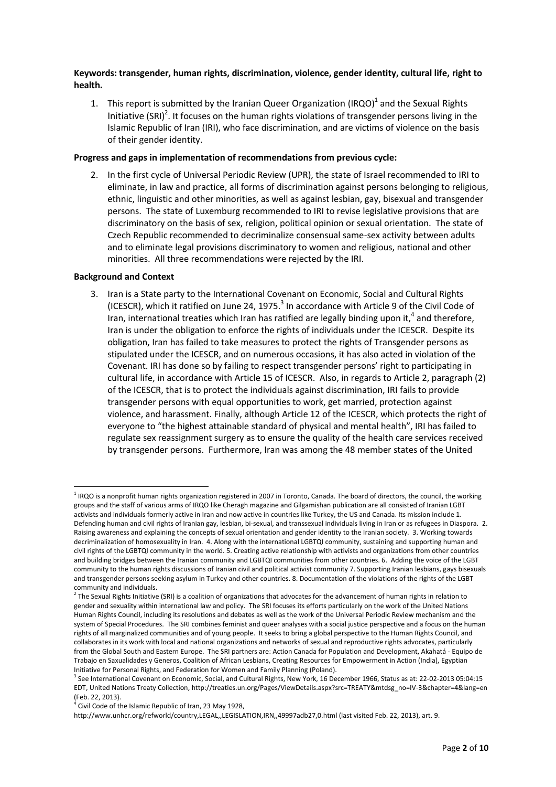**Keywords: transgender, human rights, discrimination, violence, gender identity, cultural life, right to health.**

1. This report is submitted by the Iranian Queer Organization (IRQO)<sup>1</sup> and the Sexual Rights Initiative (SRI)<sup>2</sup>. It focuses on the human rights violations of transgender persons living in the Islamic Republic of Iran (IRI), who face discrimination, and are victims of violence on the basis of their gender identity.

### **Progress and gaps in implementation of recommendations from previous cycle:**

2. In the first cycle of Universal Periodic Review (UPR), the state of Israel recommended to IRI to eliminate, in law and practice, all forms of discrimination against persons belonging to religious, ethnic, linguistic and other minorities, as well as against lesbian, gay, bisexual and transgender persons. The state of Luxemburg recommended to IRI to revise legislative provisions that are discriminatory on the basis of sex, religion, political opinion or sexual orientation. The state of Czech Republic recommended to decriminalize consensual same-sex activity between adults and to eliminate legal provisions discriminatory to women and religious, national and other minorities. All three recommendations were rejected by the IRI.

### **Background and Context**

 $\overline{a}$ 

3. Iran is a State party to the International Covenant on Economic, Social and Cultural Rights (ICESCR), which it ratified on June 24, 1975. $^3$  In accordance with Article 9 of the Civil Code of Iran, international treaties which Iran has ratified are legally binding upon it,<sup>4</sup> and therefore, Iran is under the obligation to enforce the rights of individuals under the ICESCR. Despite its obligation, Iran has failed to take measures to protect the rights of Transgender persons as stipulated under the ICESCR, and on numerous occasions, it has also acted in violation of the Covenant. IRI has done so by failing to respect transgender persons' right to participating in cultural life, in accordance with Article 15 of ICESCR. Also, in regards to Article 2, paragraph (2) of the ICESCR, that is to protect the individuals against discrimination, IRI fails to provide transgender persons with equal opportunities to work, get married, protection against violence, and harassment. Finally, although Article 12 of the ICESCR, which protects the right of everyone to "the highest attainable standard of physical and mental health", IRI has failed to regulate sex reassignment surgery as to ensure the quality of the health care services received by transgender persons. Furthermore, Iran was among the 48 member states of the United

<sup>&</sup>lt;sup>1</sup> IRQO is a nonprofit human rights organization registered in 2007 in Toronto, Canada. The board of directors, the council, the working groups and the staff of various arms of IRQO like Cheragh magazine and Gilgamishan publication are all consisted of Iranian LGBT activists and individuals formerly active in Iran and now active in countries like Turkey, the US and Canada. Its mission include 1. Defending human and civil rights of Iranian gay, lesbian, bi-sexual, and transsexual individuals living in Iran or as refugees in Diaspora. 2. Raising awareness and explaining the concepts of sexual orientation and gender identity to the Iranian society. 3. Working towards decriminalization of homosexuality in Iran. 4. Along with the international LGBTQI community, sustaining and supporting human and civil rights of the LGBTQI community in the world. 5. Creating active relationship with activists and organizations from other countries and building bridges between the Iranian community and LGBTQI communities from other countries. 6. Adding the voice of the LGBT community to the human rights discussions of Iranian civil and political activist community 7. Supporting Iranian lesbians, gays bisexuals and transgender persons seeking asylum in Turkey and other countries. 8. Documentation of the violations of the rights of the LGBT community and individuals.

 $^2$  The Sexual Rights Initiative (SRI) is a coalition of organizations that advocates for the advancement of human rights in relation to gender and sexuality within international law and policy. The SRI focuses its efforts particularly on the work of the United Nations Human Rights Council, including its resolutions and debates as well as the work of the Universal Periodic Review mechanism and the system of Special Procedures. The SRI combines feminist and queer analyses with a social justice perspective and a focus on the human rights of all marginalized communities and of young people. It seeks to bring a global perspective to the Human Rights Council, and collaborates in its work with local and national organizations and networks of sexual and reproductive rights advocates, particularly from the Global South and Eastern Europe. The SRI partners are: Action Canada for Population and Development, Akahatá - Equipo de Trabajo en Saxualidades y Generos, Coalition of African Lesbians, Creating Resources for Empowerment in Action (India), Egyptian Initiative for Personal Rights, and Federation for Women and Family Planning (Poland).

<sup>3</sup> See International Covenant on Economic, Social, and Cultural Rights, New York, 16 December 1966, Status as at: 22-02-2013 05:04:15 EDT, United Nations Treaty Collection, http://treaties.un.org/Pages/ViewDetails.aspx?src=TREATY&mtdsg\_no=IV-3&chapter=4&lang=en (Feb. 22, 2013).

<sup>&</sup>lt;sup>4</sup> Civil Code of the Islamic Republic of Iran, 23 May 1928,

http://www.unhcr.org/refworld/country,LEGAL,,LEGISLATION,IRN,,49997adb27,0.html (last visited Feb. 22, 2013), art. 9.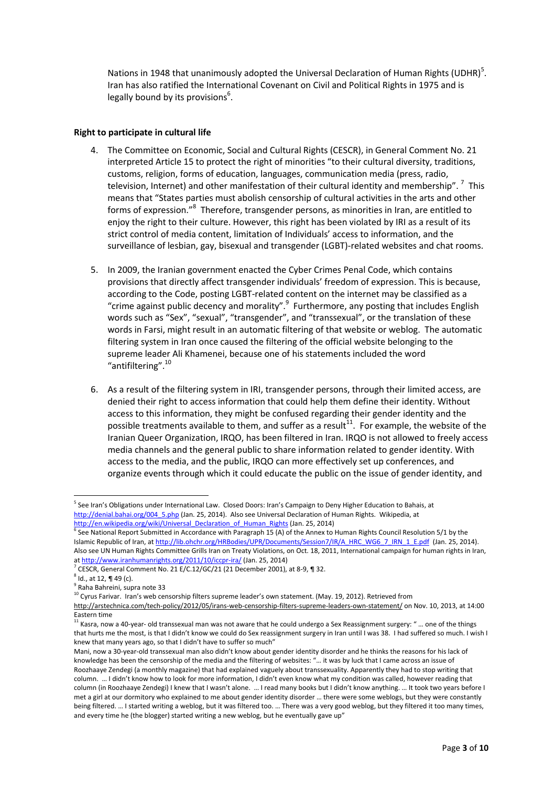Nations in 1948 that unanimously adopted the Universal Declaration of Human Rights (UDHR)<sup>5</sup>. Iran has also ratified the International Covenant on Civil and Political Rights in 1975 and is legally bound by its provisions<sup>6</sup>.

# **Right to participate in cultural life**

- 4. The Committee on Economic, Social and Cultural Rights (CESCR), in General Comment No. 21 interpreted Article 15 to protect the right of minorities "to their cultural diversity, traditions, customs, religion, forms of education, languages, communication media (press, radio, television, Internet) and other manifestation of their cultural identity and membership". <sup>7</sup> This means that "States parties must abolish censorship of cultural activities in the arts and other forms of expression."<sup>8</sup> Therefore, transgender persons, as minorities in Iran, are entitled to enjoy the right to their culture. However, this right has been violated by IRI as a result of its strict control of media content, limitation of Individuals' access to information, and the surveillance of lesbian, gay, bisexual and transgender (LGBT)-related websites and chat rooms.
- 5. In 2009, the Iranian government enacted the Cyber Crimes Penal Code, which contains provisions that directly affect transgender individuals' freedom of expression. This is because, according to the Code, posting LGBT-related content on the internet may be classified as a "crime against public decency and morality".<sup>9</sup> Furthermore, any posting that includes English words such as "Sex", "sexual", "transgender", and "transsexual", or the translation of these words in Farsi, might result in an automatic filtering of that website or weblog. The automatic filtering system in Iran once caused the filtering of the official website belonging to the supreme leader Ali Khamenei, because one of his statements included the word "antifiltering".<sup>10</sup>
- 6. As a result of the filtering system in IRI, transgender persons, through their limited access, are denied their right to access information that could help them define their identity. Without access to this information, they might be confused regarding their gender identity and the possible treatments available to them, and suffer as a result $^{11}$ . For example, the website of the Iranian Queer Organization, IRQO, has been filtered in Iran. IRQO is not allowed to freely access media channels and the general public to share information related to gender identity. With access to the media, and the public, IRQO can more effectively set up conferences, and organize events through which it could educate the public on the issue of gender identity, and

 $\overline{a}$ 

<sup>&</sup>lt;sup>5</sup> See Iran's Obligations under International Law. Closed Doors: Iran's Campaign to Deny Higher Education to Bahais, at [http://denial.bahai.org/004\\_5.php](http://denial.bahai.org/004_5.php) (Jan. 25, 2014). Also see Universal Declaration of Human Rights. Wikipedia, at [http://en.wikipedia.org/wiki/Universal\\_Declaration\\_of\\_Human\\_Rights](http://en.wikipedia.org/wiki/Universal_Declaration_of_Human_Rights) (Jan. 25, 2014)

<sup>&</sup>lt;sup>6</sup> See National Report Submitted in Accordance with Paragraph 15 (A) of the Annex to Human Rights Council Resolution 5/1 by the Islamic Republic of Iran, a[t http://lib.ohchr.org/HRBodies/UPR/Documents/Session7/IR/A\\_HRC\\_WG6\\_7\\_IRN\\_1\\_E.pdf](http://lib.ohchr.org/HRBodies/UPR/Documents/Session7/IR/A_HRC_WG6_7_IRN_1_E.pdf) (Jan. 25, 2014). Also see UN Human Rights Committee Grills Iran on Treaty Violations, on Oct. 18, 2011, International campaign for human rights in Iran, a[t http://www.iranhumanrights.org/2011/10/iccpr-ira/](http://www.iranhumanrights.org/2011/10/iccpr-ira/) (Jan. 25, 2014)

 $^7$  CESCR, General Comment No. 21 E/C.12/GC/21 (21 December 2001), at 8-9, ¶ 32.

 $^8$  Id., at 12, ¶ 49 (c).

<sup>9</sup> Raha Bahreini, supra note 33

<sup>&</sup>lt;sup>10</sup> Cyrus Farivar. Iran's web censorship filters supreme leader's own statement. (May. 19, 2012). Retrieved from

<http://arstechnica.com/tech-policy/2012/05/irans-web-censorship-filters-supreme-leaders-own-statement/> on Nov. 10, 2013, at 14:00 Eastern time

<sup>11</sup> Kasra, now a 40-year- old transsexual man was not aware that he could undergo a Sex Reassignment surgery: " … one of the things that hurts me the most, is that I didn't know we could do Sex reassignment surgery in Iran until I was 38. I had suffered so much. I wish I knew that many years ago, so that I didn't have to suffer so much"

Mani, now a 30-year-old transsexual man also didn't know about gender identity disorder and he thinks the reasons for his lack of knowledge has been the censorship of the media and the filtering of websites: "… it was by luck that I came across an issue of Roozhaaye Zendegi (a monthly magazine) that had explained vaguely about transsexuality. Apparently they had to stop writing that column. … I didn't know how to look for more information, I didn't even know what my condition was called, however reading that column (in Roozhaaye Zendegi) I knew that I wasn't alone. … I read many books but I didn't know anything. … It took two years before I met a girl at our dormitory who explained to me about gender identity disorder … there were some weblogs, but they were constantly being filtered. … I started writing a weblog, but it was filtered too. … There was a very good weblog, but they filtered it too many times, and every time he (the blogger) started writing a new weblog, but he eventually gave up"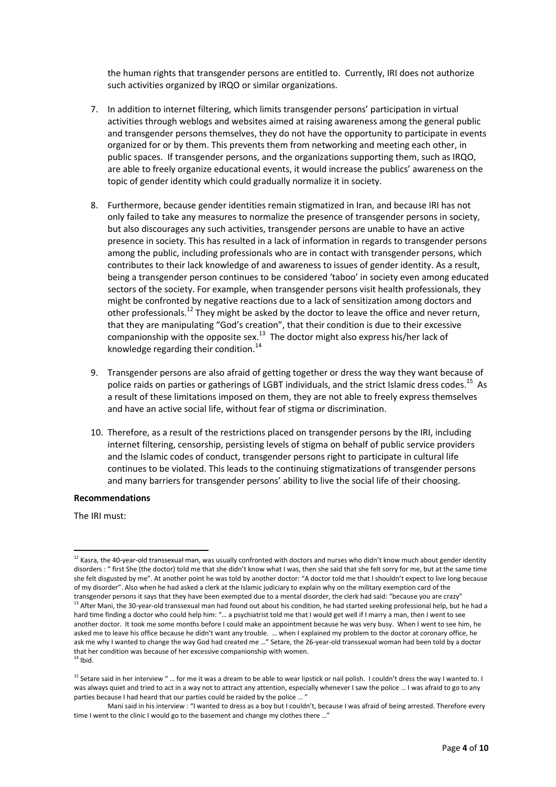the human rights that transgender persons are entitled to. Currently, IRI does not authorize such activities organized by IRQO or similar organizations.

- 7. In addition to internet filtering, which limits transgender persons' participation in virtual activities through weblogs and websites aimed at raising awareness among the general public and transgender persons themselves, they do not have the opportunity to participate in events organized for or by them. This prevents them from networking and meeting each other, in public spaces. If transgender persons, and the organizations supporting them, such as IRQO, are able to freely organize educational events, it would increase the publics' awareness on the topic of gender identity which could gradually normalize it in society.
- 8. Furthermore, because gender identities remain stigmatized in Iran, and because IRI has not only failed to take any measures to normalize the presence of transgender persons in society, but also discourages any such activities, transgender persons are unable to have an active presence in society. This has resulted in a lack of information in regards to transgender persons among the public, including professionals who are in contact with transgender persons, which contributes to their lack knowledge of and awareness to issues of gender identity. As a result, being a transgender person continues to be considered 'taboo' in society even among educated sectors of the society. For example, when transgender persons visit health professionals, they might be confronted by negative reactions due to a lack of sensitization among doctors and other professionals.<sup>12</sup> They might be asked by the doctor to leave the office and never return, that they are manipulating "God's creation", that their condition is due to their excessive companionship with the opposite sex. $^{13}$  The doctor might also express his/her lack of knowledge regarding their condition. 14
- 9. Transgender persons are also afraid of getting together or dress the way they want because of police raids on parties or gatherings of LGBT individuals, and the strict Islamic dress codes.<sup>15</sup> As a result of these limitations imposed on them, they are not able to freely express themselves and have an active social life, without fear of stigma or discrimination.
- 10. Therefore, as a result of the restrictions placed on transgender persons by the IRI, including internet filtering, censorship, persisting levels of stigma on behalf of public service providers and the Islamic codes of conduct, transgender persons right to participate in cultural life continues to be violated. This leads to the continuing stigmatizations of transgender persons and many barriers for transgender persons' ability to live the social life of their choosing.

### **Recommendations**

The IRI must:

 $\overline{\phantom{a}}$ 

 $^{12}$  Kasra, the 40-year-old transsexual man, was usually confronted with doctors and nurses who didn't know much about gender identity disorders : " first She (the doctor) told me that she didn't know what I was, then she said that she felt sorry for me, but at the same time she felt disgusted by me". At another point he was told by another doctor: "A doctor told me that I shouldn't expect to live long because of my disorder". Also when he had asked a clerk at the Islamic judiciary to explain why on the military exemption card of the transgender persons it says that they have been exempted due to a mental disorder, the clerk had said: "because you are crazy" <sup>13</sup> After Mani, the 30-year-old transsexual man had found out about his condition, he had started seeking professional help, but he had a

hard time finding a doctor who could help him: "… a psychiatrist told me that I would get well if I marry a man, then I went to see another doctor. It took me some months before I could make an appointment because he was very busy. When I went to see him, he asked me to leave his office because he didn't want any trouble. … when I explained my problem to the doctor at coronary office, he ask me why I wanted to change the way God had created me …" Setare, the 26-year-old transsexual woman had been told by a doctor that her condition was because of her excessive companionship with women.  $14$  Ibid.

<sup>&</sup>lt;sup>15</sup> Setare said in her interview " ... for me it was a dream to be able to wear lipstick or nail polish. I couldn't dress the way I wanted to. I was always quiet and tried to act in a way not to attract any attention, especially whenever I saw the police … I was afraid to go to any parties because I had heard that our parties could be raided by the police ... '

Mani said in his interview : "I wanted to dress as a boy but I couldn't, because I was afraid of being arrested. Therefore every time I went to the clinic I would go to the basement and change my clothes there ..."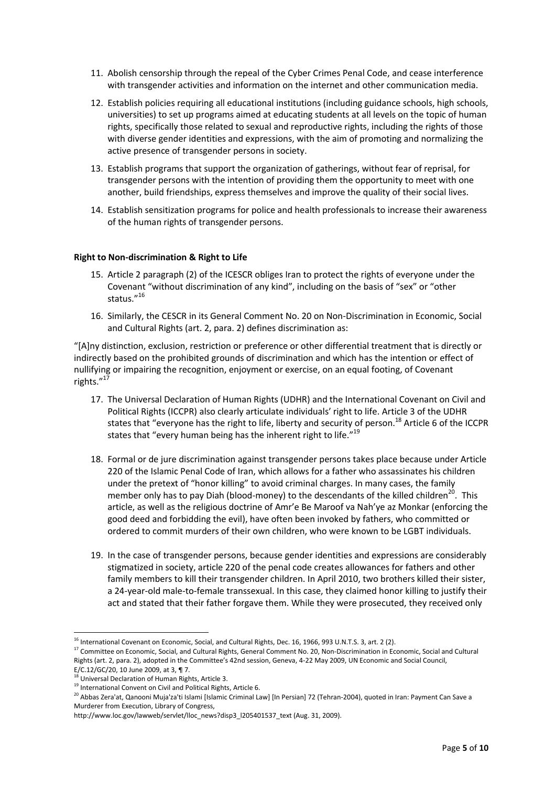- 11. Abolish censorship through the repeal of the Cyber Crimes Penal Code, and cease interference with transgender activities and information on the internet and other communication media.
- 12. Establish policies requiring all educational institutions (including guidance schools, high schools, universities) to set up programs aimed at educating students at all levels on the topic of human rights, specifically those related to sexual and reproductive rights, including the rights of those with diverse gender identities and expressions, with the aim of promoting and normalizing the active presence of transgender persons in society.
- 13. Establish programs that support the organization of gatherings, without fear of reprisal, for transgender persons with the intention of providing them the opportunity to meet with one another, build friendships, express themselves and improve the quality of their social lives.
- 14. Establish sensitization programs for police and health professionals to increase their awareness of the human rights of transgender persons.

## **Right to Non-discrimination & Right to Life**

- 15. Article 2 paragraph (2) of the ICESCR obliges Iran to protect the rights of everyone under the Covenant "without discrimination of any kind", including on the basis of "sex" or "other status."<sup>16</sup>
- 16. Similarly, the CESCR in its General Comment No. 20 on Non-Discrimination in Economic, Social and Cultural Rights (art. 2, para. 2) defines discrimination as:

"[A]ny distinction, exclusion, restriction or preference or other differential treatment that is directly or indirectly based on the prohibited grounds of discrimination and which has the intention or effect of nullifying or impairing the recognition, enjoyment or exercise, on an equal footing, of Covenant rights."<sup>17</sup>

- 17. The Universal Declaration of Human Rights (UDHR) and the International Covenant on Civil and Political Rights (ICCPR) also clearly articulate individuals' right to life. Article 3 of the UDHR states that "everyone has the right to life, liberty and security of person.<sup>18</sup> Article 6 of the ICCPR states that "every human being has the inherent right to life."<sup>19</sup>
- 18. Formal or de jure discrimination against transgender persons takes place because under Article 220 of the Islamic Penal Code of Iran, which allows for a father who assassinates his children under the pretext of "honor killing" to avoid criminal charges. In many cases, the family member only has to pay Diah (blood-money) to the descendants of the killed children<sup>20</sup>. This article, as well as the religious doctrine of Amr'e Be Maroof va Nah'ye az Monkar (enforcing the good deed and forbidding the evil), have often been invoked by fathers, who committed or ordered to commit murders of their own children, who were known to be LGBT individuals.
- 19. In the case of transgender persons, because gender identities and expressions are considerably stigmatized in society, article 220 of the penal code creates allowances for fathers and other family members to kill their transgender children. In April 2010, two brothers killed their sister, a 24-year-old male-to-female transsexual. In this case, they claimed honor killing to justify their act and stated that their father forgave them. While they were prosecuted, they received only

 $\overline{\phantom{a}}$ 

<sup>&</sup>lt;sup>16</sup> International Covenant on Economic, Social, and Cultural Rights, Dec. 16, 1966, 993 U.N.T.S. 3, art. 2 (2).

<sup>&</sup>lt;sup>17</sup> Committee on Economic, Social, and Cultural Rights, General Comment No. 20, Non-Discrimination in Economic, Social and Cultural Rights (art. 2, para. 2), adopted in the Committee's 42nd session, Geneva, 4-22 May 2009, UN Economic and Social Council, E/C.12/GC/20, 10 June 2009, at 3, ¶ 7.

 $^{18}$  Universal Declaration of Human Rights, Article 3.

<sup>&</sup>lt;sup>19</sup> International Convent on Civil and Political Rights, Article 6.

<sup>&</sup>lt;sup>20</sup> Abbas Zera'at, Qanooni Muja'za'ti Islami [Islamic Criminal Law] [In Persian] 72 (Tehran-2004), quoted in Iran: Payment Can Save a Murderer from Execution, Library of Congress,

http://www.loc.gov/lawweb/servlet/lloc\_news?disp3\_l205401537\_text (Aug. 31, 2009).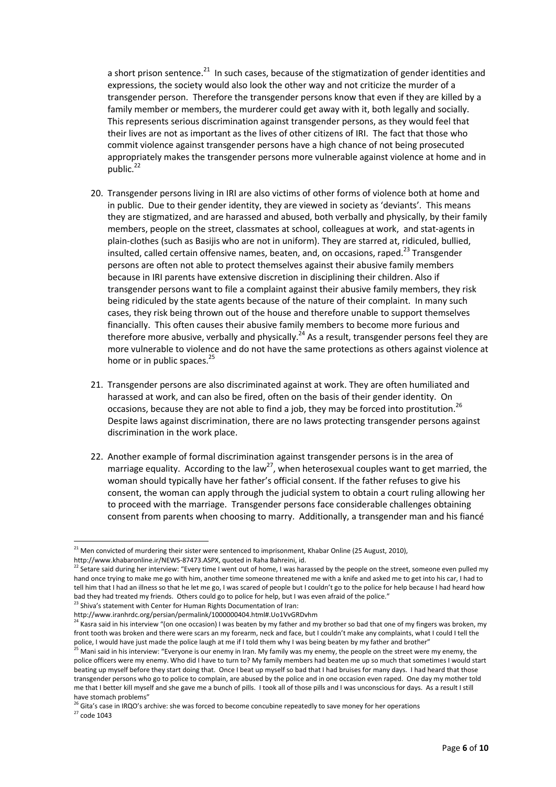a short prison sentence.<sup>21</sup> In such cases, because of the stigmatization of gender identities and expressions, the society would also look the other way and not criticize the murder of a transgender person. Therefore the transgender persons know that even if they are killed by a family member or members, the murderer could get away with it, both legally and socially. This represents serious discrimination against transgender persons, as they would feel that their lives are not as important as the lives of other citizens of IRI. The fact that those who commit violence against transgender persons have a high chance of not being prosecuted appropriately makes the transgender persons more vulnerable against violence at home and in public.<sup>22</sup>

- 20. Transgender persons living in IRI are also victims of other forms of violence both at home and in public. Due to their gender identity, they are viewed in society as 'deviants'. This means they are stigmatized, and are harassed and abused, both verbally and physically, by their family members, people on the street, classmates at school, colleagues at work, and stat-agents in plain-clothes (such as Basijis who are not in uniform). They are starred at, ridiculed, bullied, insulted, called certain offensive names, beaten, and, on occasions, raped. $^{23}$  Transgender persons are often not able to protect themselves against their abusive family members because in IRI parents have extensive discretion in disciplining their children. Also if transgender persons want to file a complaint against their abusive family members, they risk being ridiculed by the state agents because of the nature of their complaint. In many such cases, they risk being thrown out of the house and therefore unable to support themselves financially. This often causes their abusive family members to become more furious and therefore more abusive, verbally and physically.<sup>24</sup> As a result, transgender persons feel they are more vulnerable to violence and do not have the same protections as others against violence at home or in public spaces. $^{25}$
- 21. Transgender persons are also discriminated against at work. They are often humiliated and harassed at work, and can also be fired, often on the basis of their gender identity. On occasions, because they are not able to find a job, they may be forced into prostitution.<sup>26</sup> Despite laws against discrimination, there are no laws protecting transgender persons against discrimination in the work place.
- 22. Another example of formal discrimination against transgender persons is in the area of marriage equality. According to the law<sup>27</sup>, when heterosexual couples want to get married, the woman should typically have her father's official consent. If the father refuses to give his consent, the woman can apply through the judicial system to obtain a court ruling allowing her to proceed with the marriage. Transgender persons face considerable challenges obtaining consent from parents when choosing to marry. Additionally, a transgender man and his fiancé

<sup>23</sup> Shiva's statement with Center for Human Rights Documentation of Iran:

l

 $^{21}$  Men convicted of murdering their sister were sentenced to imprisonment, Khabar Online (25 August, 2010), http://www.khabaronline.ir/NEWS-87473.ASPX, quoted in Raha Bahreini, id.

<sup>&</sup>lt;sup>22</sup> Setare said during her interview: "Every time I went out of home, I was harassed by the people on the street, someone even pulled my hand once trying to make me go with him, another time someone threatened me with a knife and asked me to get into his car, I had to tell him that I had an illness so that he let me go, I was scared of people but I couldn't go to the police for help because I had heard how bad they had treated my friends. Others could go to police for help, but I was even afraid of the police."

http://www.iranhrdc.org/persian/permalink/1000000404.html#.Uo1VvGRDvhm

<sup>24</sup> Kasra said in his interview "(on one occasion) I was beaten by my father and my brother so bad that one of my fingers was broken, my front tooth was broken and there were scars an my forearm, neck and face, but I couldn't make any complaints, what I could I tell the police, I would have just made the police laugh at me if I told them why I was being beaten by my father and brother"

<sup>&</sup>lt;sup>25</sup> Mani said in his interview: "Everyone is our enemy in Iran. My family was my enemy, the people on the street were my enemy, the police officers were my enemy. Who did I have to turn to? My family members had beaten me up so much that sometimes I would start beating up myself before they start doing that. Once I beat up myself so bad that I had bruises for many days. I had heard that those transgender persons who go to police to complain, are abused by the police and in one occasion even raped. One day my mother told me that I better kill myself and she gave me a bunch of pills. I took all of those pills and I was unconscious for days. As a result I still have stomach problems"

<sup>&</sup>lt;sup>26</sup> Gita's case in IRQO's archive: she was forced to become concubine repeatedly to save money for her operations  $27 \text{ code } 1043$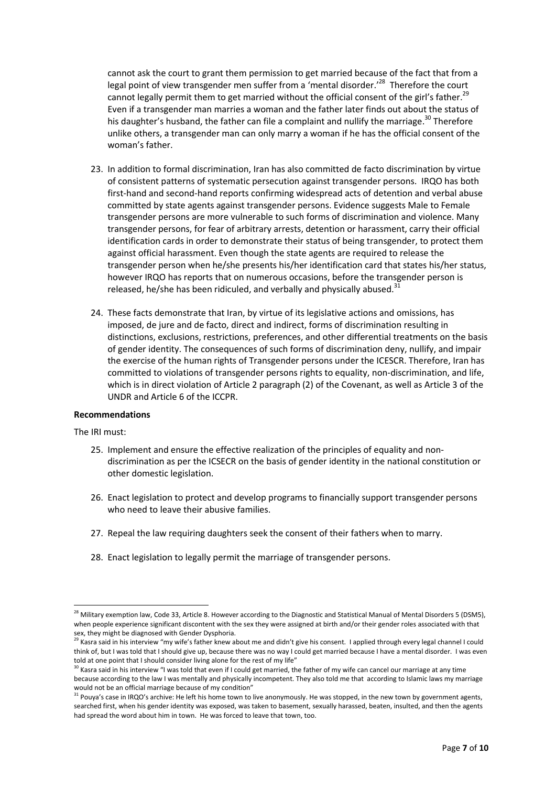cannot ask the court to grant them permission to get married because of the fact that from a legal point of view transgender men suffer from a 'mental disorder.<sup>,28</sup> Therefore the court cannot legally permit them to get married without the official consent of the girl's father.<sup>29</sup> Even if a transgender man marries a woman and the father later finds out about the status of his daughter's husband, the father can file a complaint and nullify the marriage.<sup>30</sup> Therefore unlike others, a transgender man can only marry a woman if he has the official consent of the woman's father.

- 23. In addition to formal discrimination, Iran has also committed de facto discrimination by virtue of consistent patterns of systematic persecution against transgender persons. IRQO has both first-hand and second-hand reports confirming widespread acts of detention and verbal abuse committed by state agents against transgender persons. Evidence suggests Male to Female transgender persons are more vulnerable to such forms of discrimination and violence. Many transgender persons, for fear of arbitrary arrests, detention or harassment, carry their official identification cards in order to demonstrate their status of being transgender, to protect them against official harassment. Even though the state agents are required to release the transgender person when he/she presents his/her identification card that states his/her status, however IRQO has reports that on numerous occasions, before the transgender person is released, he/she has been ridiculed, and verbally and physically abused. $31$
- 24. These facts demonstrate that Iran, by virtue of its legislative actions and omissions, has imposed, de jure and de facto, direct and indirect, forms of discrimination resulting in distinctions, exclusions, restrictions, preferences, and other differential treatments on the basis of gender identity. The consequences of such forms of discrimination deny, nullify, and impair the exercise of the human rights of Transgender persons under the ICESCR. Therefore, Iran has committed to violations of transgender persons rights to equality, non-discrimination, and life, which is in direct violation of Article 2 paragraph (2) of the Covenant, as well as Article 3 of the UNDR and Article 6 of the ICCPR.

### **Recommendations**

### The IRI must:

- 25. Implement and ensure the effective realization of the principles of equality and nondiscrimination as per the ICSECR on the basis of gender identity in the national constitution or other domestic legislation.
- 26. Enact legislation to protect and develop programs to financially support transgender persons who need to leave their abusive families.
- 27. Repeal the law requiring daughters seek the consent of their fathers when to marry.
- 28. Enact legislation to legally permit the marriage of transgender persons.

 $\overline{\phantom{a}}$ <sup>28</sup> Military exemption law, Code 33, Article 8. However according to the Diagnostic and Statistical Manual of Mental Disorders 5 (DSM5), when people experience significant discontent with the sex they were assigned at birth and/or their gender roles associated with that sex, they might be diagnosed with Gender Dysphoria.

<sup>29</sup> Kasra said in his interview "my wife's father knew about me and didn't give his consent. I applied through every legal channel I could think of, but I was told that I should give up, because there was no way I could get married because I have a mental disorder. I was even told at one point that I should consider living alone for the rest of my life"

 $30$  Kasra said in his interview "I was told that even if I could get married, the father of my wife can cancel our marriage at any time because according to the law I was mentally and physically incompetent. They also told me that according to Islamic laws my marriage would not be an official marriage because of my condition"

<sup>33</sup> Pouya's case in IRQO's archive: He left his home town to live anonymously. He was stopped, in the new town by government agents, searched first, when his gender identity was exposed, was taken to basement, sexually harassed, beaten, insulted, and then the agents had spread the word about him in town. He was forced to leave that town, too.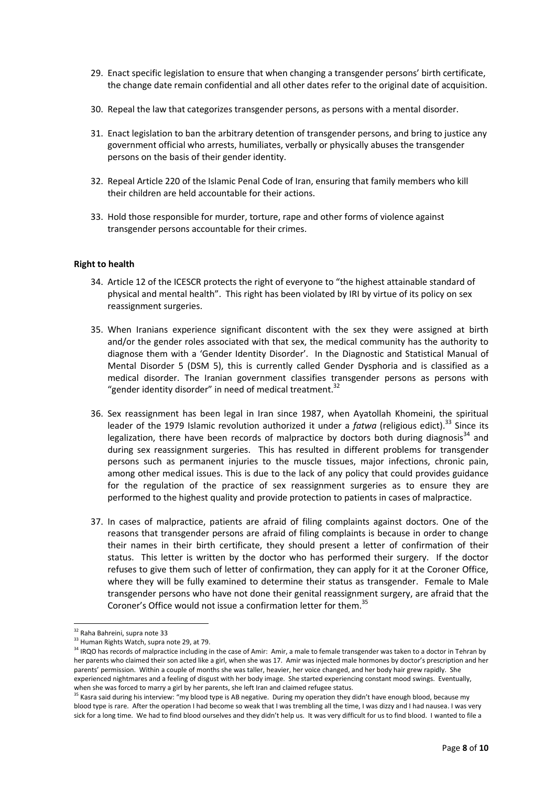- 29. Enact specific legislation to ensure that when changing a transgender persons' birth certificate, the change date remain confidential and all other dates refer to the original date of acquisition.
- 30. Repeal the law that categorizes transgender persons, as persons with a mental disorder.
- 31. Enact legislation to ban the arbitrary detention of transgender persons, and bring to justice any government official who arrests, humiliates, verbally or physically abuses the transgender persons on the basis of their gender identity.
- 32. Repeal Article 220 of the Islamic Penal Code of Iran, ensuring that family members who kill their children are held accountable for their actions.
- 33. Hold those responsible for murder, torture, rape and other forms of violence against transgender persons accountable for their crimes.

### **Right to health**

- 34. Article 12 of the ICESCR protects the right of everyone to "the highest attainable standard of physical and mental health". This right has been violated by IRI by virtue of its policy on sex reassignment surgeries.
- 35. When Iranians experience significant discontent with the sex they were assigned at birth and/or the gender roles associated with that sex, the medical community has the authority to diagnose them with a 'Gender Identity Disorder'. In the Diagnostic and Statistical Manual of Mental Disorder 5 (DSM 5), this is currently called Gender Dysphoria and is classified as a medical disorder. The Iranian government classifies transgender persons as persons with "gender identity disorder" in need of medical treatment.<sup>32</sup>
- 36. Sex reassignment has been legal in Iran since 1987, when Ayatollah Khomeini, the spiritual leader of the 1979 Islamic revolution authorized it under a *fatwa* (religious edict).<sup>33</sup> Since its legalization, there have been records of malpractice by doctors both during diagnosis<sup>34</sup> and during sex reassignment surgeries. This has resulted in different problems for transgender persons such as permanent injuries to the muscle tissues, major infections, chronic pain, among other medical issues. This is due to the lack of any policy that could provides guidance for the regulation of the practice of sex reassignment surgeries as to ensure they are performed to the highest quality and provide protection to patients in cases of malpractice.
- 37. In cases of malpractice, patients are afraid of filing complaints against doctors. One of the reasons that transgender persons are afraid of filing complaints is because in order to change their names in their birth certificate, they should present a letter of confirmation of their status. This letter is written by the doctor who has performed their surgery. If the doctor refuses to give them such of letter of confirmation, they can apply for it at the Coroner Office, where they will be fully examined to determine their status as transgender. Female to Male transgender persons who have not done their genital reassignment surgery, are afraid that the Coroner's Office would not issue a confirmation letter for them.<sup>35</sup>

 $\overline{a}$ 

<sup>&</sup>lt;sup>32</sup> Raha Bahreini, supra note 33

<sup>&</sup>lt;sup>33</sup> Human Rights Watch, supra note 29, at 79.

<sup>&</sup>lt;sup>34</sup> IRQO has records of malpractice including in the case of Amir: Amir, a male to female transgender was taken to a doctor in Tehran by her parents who claimed their son acted like a girl, when she was 17. Amir was injected male hormones by doctor's prescription and her parents' permission. Within a couple of months she was taller, heavier, her voice changed, and her body hair grew rapidly. She experienced nightmares and a feeling of disgust with her body image. She started experiencing constant mood swings. Eventually, when she was forced to marry a girl by her parents, she left Iran and claimed refugee status.

<sup>35</sup> Kasra said during his interview: "my blood type is AB negative. During my operation they didn't have enough blood, because my blood type is rare. After the operation I had become so weak that I was trembling all the time, I was dizzy and I had nausea. I was very sick for a long time. We had to find blood ourselves and they didn't help us. It was very difficult for us to find blood. I wanted to file a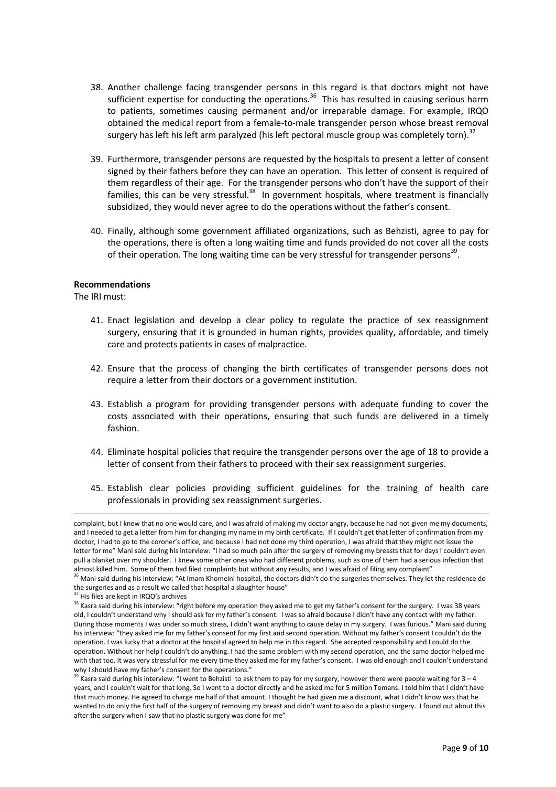- 38. Another challenge facing transgender persons in this regard is that doctors might not have sufficient expertise for conducting the operations.<sup>36</sup> This has resulted in causing serious harm to patients, sometimes causing permanent and/or irreparable damage. For example, IRQO obtained the medical report from a female-to-male transgender person whose breast removal surgery has left his left arm paralyzed (his left pectoral muscle group was completely torn).<sup>37</sup>
- 39. Furthermore, transgender persons are requested by the hospitals to present a letter of consent signed by their fathers before they can have an operation. This letter of consent is required of them regardless of their age. For the transgender persons who don't have the support of their families, this can be very stressful.<sup>38</sup> In government hospitals, where treatment is financially subsidized, they would never agree to do the operations without the father's consent.
- 40. Finally, although some government affiliated organizations, such as Behzisti, agree to pay for the operations, there is often a long waiting time and funds provided do not cover all the costs of their operation. The long waiting time can be very stressful for transgender persons<sup>39</sup>.

#### **Recommendations**

The IRI must:

 $\overline{a}$ 

- 41. Enact legislation and develop a clear policy to regulate the practice of sex reassignment surgery, ensuring that it is grounded in human rights, provides quality, affordable, and timely care and protects patients in cases of malpractice.
- 42. Ensure that the process of changing the birth certificates of transgender persons does not require a letter from their doctors or a government institution.
- 43. Establish a program for providing transgender persons with adequate funding to cover the costs associated with their operations, ensuring that such funds are delivered in a timely fashion.
- 44. Eliminate hospital policies that require the transgender persons over the age of 18 to provide a letter of consent from their fathers to proceed with their sex reassignment surgeries.
- 45. Establish clear policies providing sufficient guidelines for the training of health care professionals in providing sex reassignment surgeries.

complaint, but I knew that no one would care, and I was afraid of making my doctor angry, because he had not given me my documents, and I needed to get a letter from him for changing my name in my birth certificate. If I couldn't get that letter of confirmation from my doctor, I had to go to the coroner's office, and because I had not done my third operation, I was afraid that they might not issue the letter for me" Mani said during his interview: "I had so much pain after the surgery of removing my breasts that for days I couldn't even pull a blanket over my shoulder. I knew some other ones who had different problems, such as one of them had a serious infection that almost killed him. Some of them had filed complaints but without any results, and I was afraid of filing any complaint"

<sup>&</sup>lt;sup>36</sup> Mani said during his interview: "At Imam Khomeini hospital, the doctors didn't do the surgeries themselves. They let the residence do the surgeries and as a result we called that hospital a slaughter house"

<sup>&</sup>lt;sup>37</sup> His files are kept in IRQO's archives

<sup>&</sup>lt;sup>38</sup> Kasra said during his interview: "right before my operation they asked me to get my father's consent for the surgery. I was 38 years old, I couldn't understand why I should ask for my father's consent. I was so afraid because I didn't have any contact with my father. During those moments I was under so much stress, I didn't want anything to cause delay in my surgery. I was furious." Mani said during his interview: "they asked me for my father's consent for my first and second operation. Without my father's consent I couldn't do the operation. I was lucky that a doctor at the hospital agreed to help me in this regard. She accepted responsibility and I could do the operation. Without her help I couldn't do anything. I had the same problem with my second operation, and the same doctor helped me with that too. It was very stressful for me every time they asked me for my father's consent. I was old enough and I couldn't understand why I should have my father's consent for the operations."

<sup>&</sup>lt;sup>39</sup> Kasra said during his interview: "I went to Behzisti to ask them to pay for my surgery, however there were people waiting for  $3-4$ years, and I couldn't wait for that long. So I went to a doctor directly and he asked me for 5 million Tomans. I told him that I didn't have that much money. He agreed to charge me half of that amount. I thought he had given me a discount, what I didn't know was that he wanted to do only the first half of the surgery of removing my breast and didn't want to also do a plastic surgery. I found out about this after the surgery when I saw that no plastic surgery was done for me"